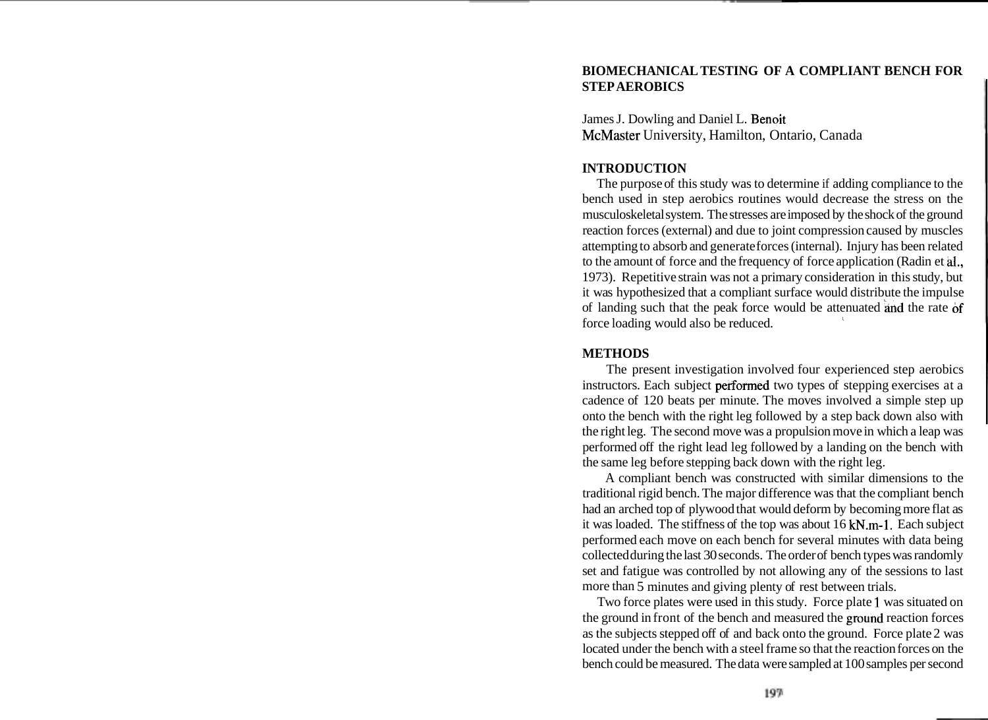# **BIOMECHANICAL TESTING OF A COMPLIANT BENCH FOR STEP AEROBICS**

James J. Dowling and Daniel L. Benoit McMaster University, Hamilton, Ontario, Canada

# **INTRODUCTION**

The purpose of this study was to determine if adding compliance to the bench used in step aerobics routines would decrease the stress on the musculoskeletal system. The stresses are imposed by the shock of the ground reaction forces (external) and due to joint compression caused by muscles attempting to absorb and generate forces (internal). Injury has been related to the amount of force and the frequency of force application (Radin et **al.,**  1973). Repetitive strain was not a primary consideration in this study, but it was hypothesized that a compliant surface would distribute the impulse of landing such that the peak force would be attenuated and the rate of force loading would also be reduced.

## **METHODS**

The present investigation involved four experienced step aerobics instructors. Each subject performed two types of stepping exercises at a cadence of 120 beats per minute. The moves involved a simple step up onto the bench with the right leg followed by a step back down also with the right leg. The second move was a propulsion move in which a leap was performed off the right lead leg followed by a landing on the bench with the same leg before stepping back down with the right leg.

A compliant bench was constructed with similar dimensions to the traditional rigid bench. The major difference was that the compliant bench had an arched top of plywood that would deform by becoming more flat as it was loaded. The stiffness of the top was about 16 kN.m-1. Each subject performed each move on each bench for several minutes with data being collected during the last 30 seconds. The order of bench types was randomly set and fatigue was controlled by not allowing any of the sessions to last more than 5 minutes and giving plenty of rest between trials.

Two force plates were used in this study. Force plate 1 was situated on the ground in front of the bench and measured the ground reaction forces as the subjects stepped off of and back onto the ground. Force plate 2 was located under the bench with a steel frame so that the reaction forces on the bench could be measured. The data were sampled at 100 samples per second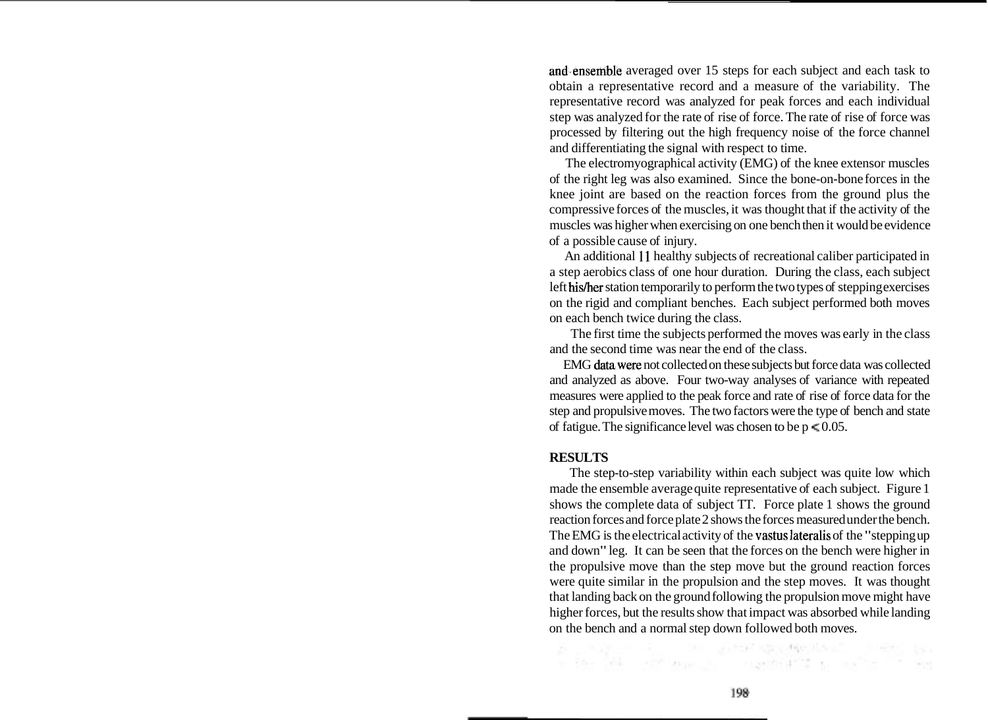and.ensemble averaged over 15 steps for each subject and each task to obtain a representative record and a measure of the variability. The representative record was analyzed for peak forces and each individual step was analyzed for the rate of rise of force. The rate of rise of force was processed by filtering out the high frequency noise of the force channel and differentiating the signal with respect to time.

The electromyographical activity (EMG) of the knee extensor muscles of the right leg was also examined. Since the bone-on-bone forces in the knee joint are based on the reaction forces from the ground plus the compressive forces of the muscles, it was thought that if the activity of the muscles was higher when exercising on one bench then it would be evidence of a possible cause of injury.

An additional 11 healthy subjects of recreational caliber participated in a step aerobics class of one hour duration. During the class, each subject left his/her station temporarily to perform the two types of stepping exercises on the rigid and compliant benches. Each subject performed both moves on each bench twice during the class.

The first time the subjects performed the moves was early in the class and the second time was near the end of the class.

EMG datawere not collected on these subjects but force data was collected and analyzed as above. Four two-way analyses of variance with repeated measures were applied to the peak force and rate of rise of force data for the step and propulsive moves. The two factors were the type of bench and state of fatigue. The significance level was chosen to be  $p \le 0.05$ .

#### **RESULTS**

The step-to-step variability within each subject was quite low which made the ensemble average quite representative of each subject. Figure 1 shows the complete data of subject TT. Force plate 1 shows the ground reaction forces and force plate 2 shows the forces measured under the bench. The EMG is the electrical activity of the vastus lateralis of the "stepping up and down" leg. It can be seen that the forces on the bench were higher in the propulsive move than the step move but the ground reaction forces were quite similar in the propulsion and the step moves. It was thought that landing back on the ground following the propulsion move might have higher forces, but the results show that impact was absorbed while landing on the bench and a normal step down followed both moves.

Fig. 1990 State Street Street Street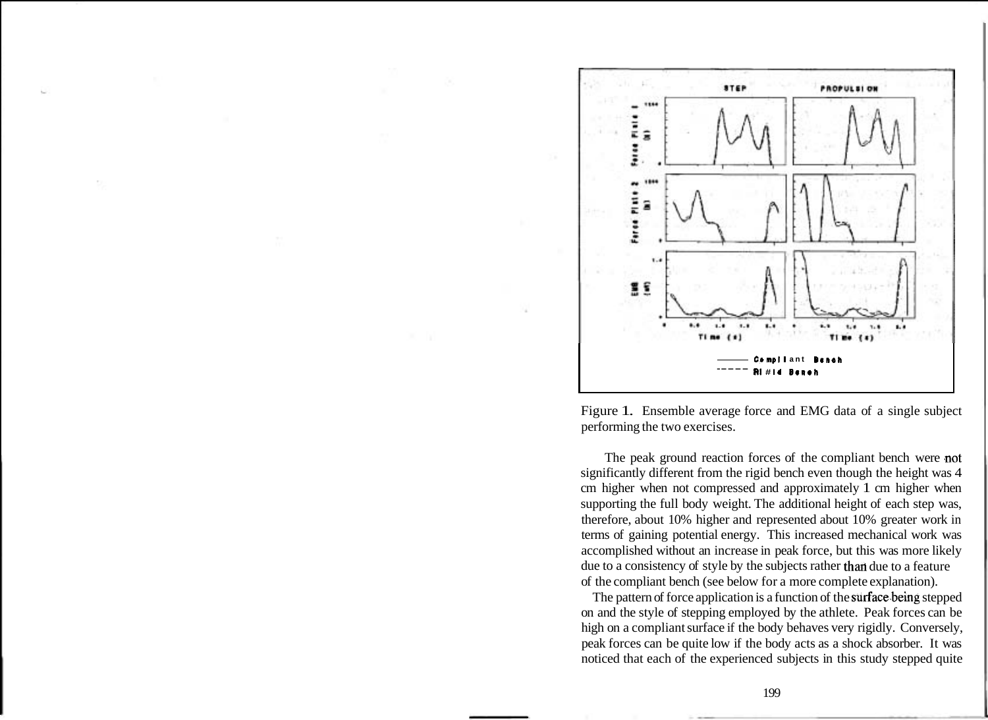

Figure 1. Ensemble average force and EMG data of a single subject performing the two exercises.

The peak ground reaction forces of the compliant bench were not significantly different from the rigid bench even though the height was 4 cm higher when not compressed and approximately 1 cm higher when supporting the full body weight. The additional height of each step was, therefore, about 10% higher and represented about 10% greater work in terms of gaining potential energy. This increased mechanical work was accomplished without an increase in peak force, but this was more likely due to a consistency of style by the subjects rather than due to a feature of the compliant bench (see below for a more complete explanation).

The pattern of force application is a function of the surface.being stepped on and the style of stepping employed by the athlete. Peak forces can be high on a compliant surface if the body behaves very rigidly. Conversely, peak forces can be quite low if the body acts as a shock absorber. It was noticed that each of the experienced subjects in this study stepped quite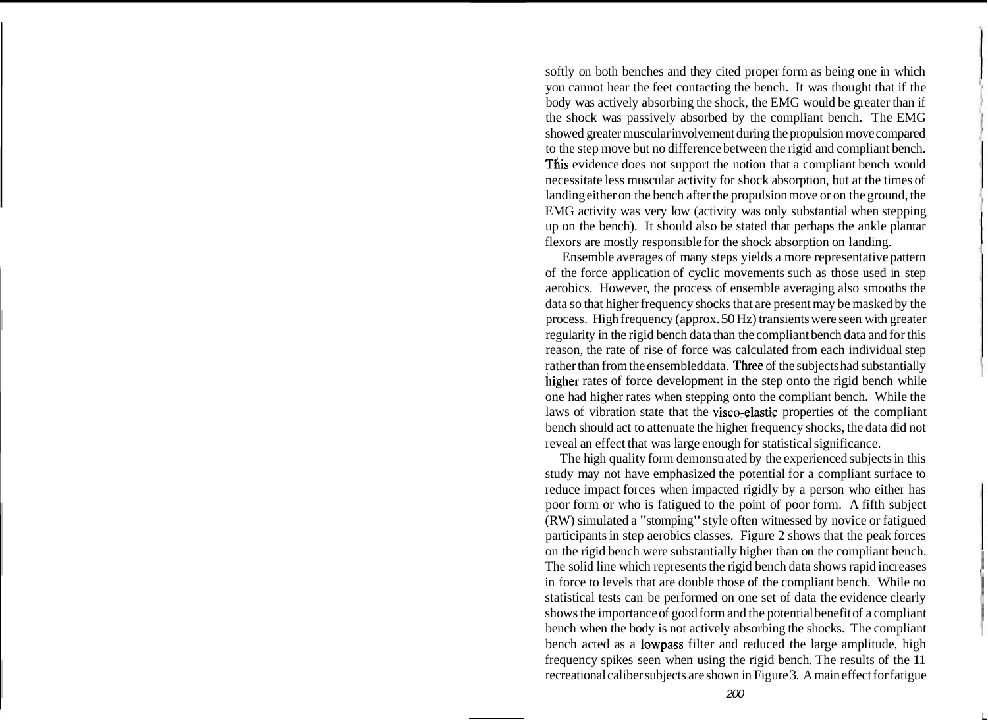softly on both benches and they cited proper form as being one in which you cannot hear the feet contacting the bench. It was thought that if the body was actively absorbing the shock, the EMG would be greater than if the shock was passively absorbed by the compliant bench. The EMG showed greater muscular involvement during the propulsion move compared to the step move but no difference between the rigid and compliant bench. This evidence does not support the notion that a compliant bench would necessitate less muscular activity for shock absorption, but at the times of landing either on the bench after the propulsion move or on the ground, the EMG activity was very low (activity was only substantial when stepping up on the bench). It should also be stated that perhaps the ankle plantar flexors are mostly responsible for the shock absorption on landing.

Ensemble averages of many steps yields a more representative pattern of the force application of cyclic movements such as those used in step aerobics. However, the process of ensemble averaging also smooths the data so that higher frequency shocks that are present may be masked by the process. High frequency (approx. 50 Hz) transients were seen with greater regularity in the rigid bench data than the compliant bench data and for this reason, the rate of rise of force was calculated from each individual step rather than from the ensembled data. Three of the subjects had substantially higher rates of force development in the step onto the rigid bench while one had higher rates when stepping onto the compliant bench. While the laws of vibration state that the visco;elastic properties of the compliant bench should act to attenuate the higher frequency shocks, the data did not reveal an effect that was large enough for statistical significance.

The high quality form demonstrated by the experienced subjects in this study may not have emphasized the potential for a compliant surface to reduce impact forces when impacted rigidly by a person who either has poor form or who is fatigued to the point of poor form. A fifth subject (RW) simulated a "stomping" style often witnessed by novice or fatigued participants in step aerobics classes. Figure 2 shows that the peak forces on the rigid bench were substantially higher than on the compliant bench. The solid line which represents the rigid bench data shows rapid increases in force to levels that are double those of the compliant bench. While no statistical tests can be performed on one set of data the evidence clearly shows the importance of good form and the potential benefit of a compliant bench when the body is not actively absorbing the shocks. The compliant bench acted as a lowpass filter and reduced the large amplitude, high frequency spikes seen when using the rigid bench. The results of the 11 recreational caliber subjects are shown in Figure 3. A main effect for fatigue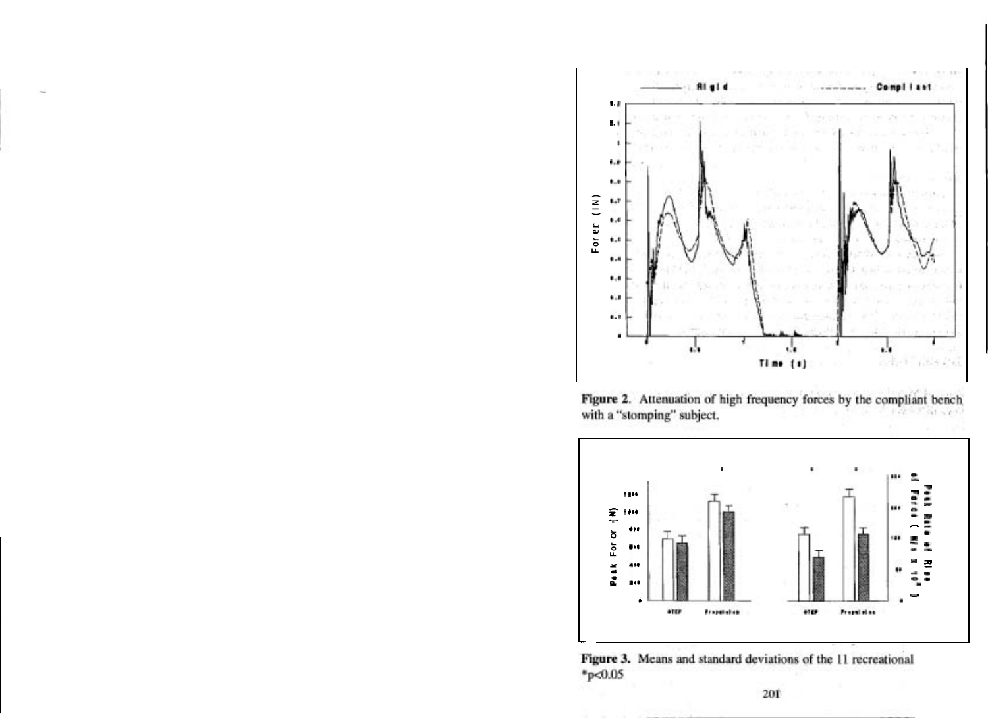

Figure 2. Attenuation of high frequency forces by the compliant bench with a "stomping" subject.



Figure 3. Means and standard deviations of the 11 recreational  $*_{p<0.05}$